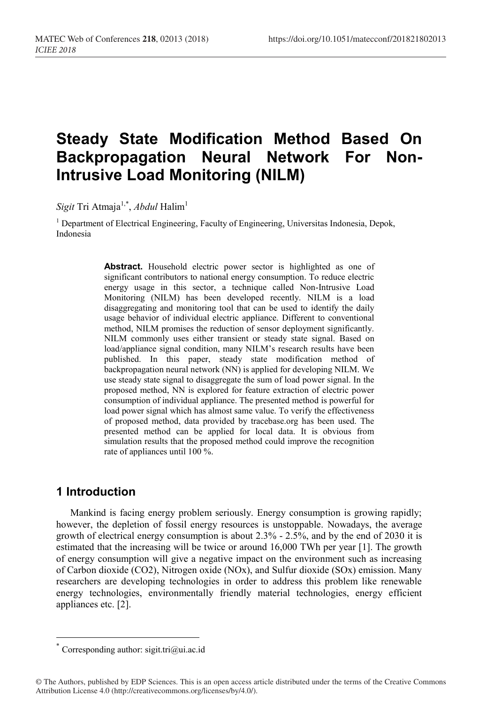# **Steady State Modification Method Based On Backpropagation Neural Network For Non-Intrusive Load Monitoring (NILM)**

 $Sign$  Tri Atmaja $^{1,*},$  *Abdul* Halim $^1$ 

<sup>1</sup> Department of Electrical Engineering, Faculty of Engineering, Universitas Indonesia, Depok, Indonesia

> Abstract. Household electric power sector is highlighted as one of significant contributors to national energy consumption. To reduce electric energy usage in this sector, a technique called Non-Intrusive Load Monitoring (NILM) has been developed recently. NILM is a load disaggregating and monitoring tool that can be used to identify the daily usage behavior of individual electric appliance. Different to conventional method, NILM promises the reduction of sensor deployment significantly. NILM commonly uses either transient or steady state signal. Based on load/appliance signal condition, many NILM's research results have been published. In this paper, steady state modification method of backpropagation neural network (NN) is applied for developing NILM. We use steady state signal to disaggregate the sum of load power signal. In the proposed method, NN is explored for feature extraction of electric power consumption of individual appliance. The presented method is powerful for load power signal which has almost same value. To verify the effectiveness of proposed method, data provided by tracebase.org has been used. The presented method can be applied for local data. It is obvious from simulation results that the proposed method could improve the recognition rate of appliances until 100 %.

# **1 Introduction**

Mankind is facing energy problem seriously. Energy consumption is growing rapidly; however, the depletion of fossil energy resources is unstoppable. Nowadays, the average growth of electrical energy consumption is about 2.3% - 2.5%, and by the end of 2030 it is estimated that the increasing will be twice or around 16,000 TWh per year [1]. The growth of energy consumption will give a negative impact on the environment such as increasing of Carbon dioxide (CO2), Nitrogen oxide (NOx), and Sulfur dioxide (SOx) emission. Many researchers are developing technologies in order to address this problem like renewable energy technologies, environmentally friendly material technologies, energy efficient appliances etc. [2].

<sup>\*</sup> Corresponding author: sigit.tri $(\partial_\mu u)$  ac.id

<sup>©</sup> The Authors, published by EDP Sciences. This is an open access article distributed under the terms of the Creative Commons Attribution License 4.0 (http://creativecommons.org/licenses/by/4.0/).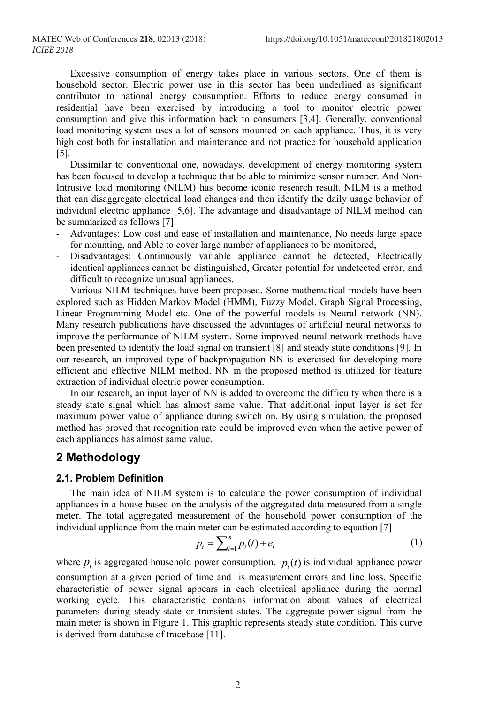Excessive consumption of energy takes place in various sectors. One of them is household sector. Electric power use in this sector has been underlined as significant contributor to national energy consumption. Efforts to reduce energy consumed in residential have been exercised by introducing a tool to monitor electric power consumption and give this information back to consumers [3,4]. Generally, conventional load monitoring system uses a lot of sensors mounted on each appliance. Thus, it is very high cost both for installation and maintenance and not practice for household application [5].

Dissimilar to conventional one, nowadays, development of energy monitoring system has been focused to develop a technique that be able to minimize sensor number. And Non-Intrusive load monitoring (NILM) has become iconic research result. NILM is a method that can disaggregate electrical load changes and then identify the daily usage behavior of individual electric appliance [5,6]. The advantage and disadvantage of NILM method can be summarized as follows [7]:

- Advantages: Low cost and ease of installation and maintenance, No needs large space for mounting, and Able to cover large number of appliances to be monitored,
- Disadvantages: Continuously variable appliance cannot be detected, Electrically identical appliances cannot be distinguished, Greater potential for undetected error, and difficult to recognize unusual appliances.

Various NILM techniques have been proposed. Some mathematical models have been explored such as Hidden Markov Model (HMM), Fuzzy Model, Graph Signal Processing, Linear Programming Model etc. One of the powerful models is Neural network (NN). Many research publications have discussed the advantages of artificial neural networks to improve the performance of NILM system. Some improved neural network methods have been presented to identify the load signal on transient [8] and steady state conditions [9]. In our research, an improved type of backpropagation NN is exercised for developing more efficient and effective NILM method. NN in the proposed method is utilized for feature extraction of individual electric power consumption.

In our research, an input layer of NN is added to overcome the difficulty when there is a steady state signal which has almost same value. That additional input layer is set for maximum power value of appliance during switch on. By using simulation, the proposed method has proved that recognition rate could be improved even when the active power of each appliances has almost same value.

# **2 Methodology**

#### **2.1. Problem Definition**

The main idea of NILM system is to calculate the power consumption of individual appliances in a house based on the analysis of the aggregated data measured from a single meter. The total aggregated measurement of the household power consumption of the individual appliance from the main meter can be estimated according to equation [7]

$$
p_t = \sum_{i=1}^n p_i(t) + e_t
$$
 (1)

where  $p_t$  is aggregated household power consumption,  $p_t(t)$  is individual appliance power consumption at a given period of time and is measurement errors and line loss. Specific characteristic of power signal appears in each electrical appliance during the normal working cycle. This characteristic contains information about values of electrical parameters during steady-state or transient states. The aggregate power signal from the main meter is shown in Figure 1. This graphic represents steady state condition. This curve is derived from database of tracebase [11].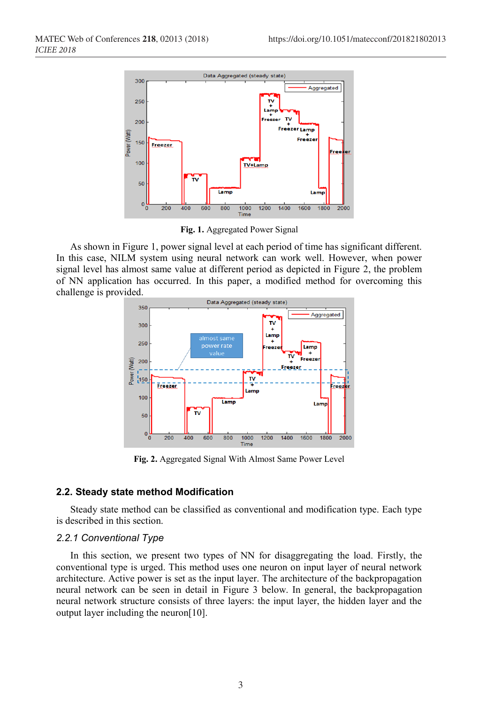

**Fig. 1.** Aggregated Power Signal

As shown in Figure 1, power signal level at each period of time has significant different. In this case, NILM system using neural network can work well. However, when power signal level has almost same value at different period as depicted in Figure 2, the problem of NN application has occurred. In this paper, a modified method for overcoming this challenge is provided.



**Fig. 2.** Aggregated Signal With Almost Same Power Level

### **2.2. Steady state method Modification**

Steady state method can be classified as conventional and modification type. Each type is described in this section.

#### *2.2.1 Conventional Type*

In this section, we present two types of NN for disaggregating the load. Firstly, the conventional type is urged. This method uses one neuron on input layer of neural network architecture. Active power is set as the input layer. The architecture of the backpropagation neural network can be seen in detail in Figure 3 below. In general, the backpropagation neural network structure consists of three layers: the input layer, the hidden layer and the output layer including the neuron[10].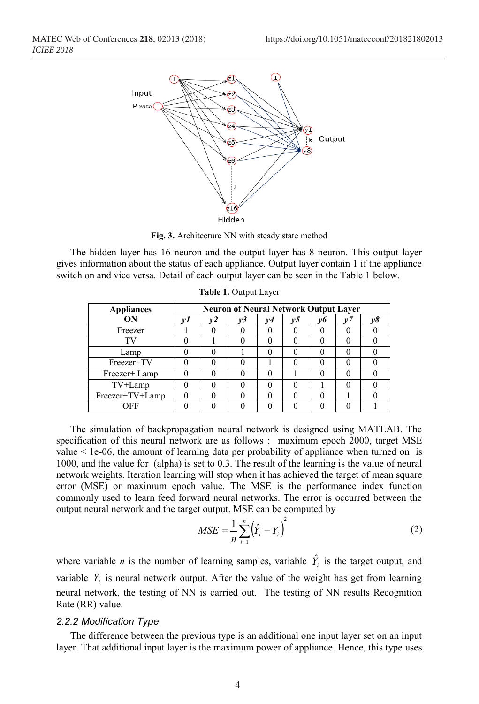

**Fig. 3.** Architecture NN with steady state method

The hidden layer has 16 neuron and the output layer has 8 neuron. This output layer gives information about the status of each appliance. Output layer contain 1 if the appliance switch on and vice versa. Detail of each output layer can be seen in the Table 1 below.

| <b>Appliances</b> | <b>Neuron of Neural Network Output Layer</b> |  |    |    |    |    |  |  |  |
|-------------------|----------------------------------------------|--|----|----|----|----|--|--|--|
| ON                |                                              |  | v3 | v4 | v5 | v6 |  |  |  |
| Freezer           |                                              |  |    |    |    |    |  |  |  |
| TТ                |                                              |  |    |    |    |    |  |  |  |
| Lamp              |                                              |  |    |    |    |    |  |  |  |
| Freezer+TV        |                                              |  |    |    |    |    |  |  |  |
| Freezer+ Lamp     |                                              |  |    |    |    |    |  |  |  |
| TV+Lamp           |                                              |  |    |    |    |    |  |  |  |
| Freezer+TV+Lamp   |                                              |  |    |    |    |    |  |  |  |
| OFF               |                                              |  |    |    |    |    |  |  |  |

**Table 1.** Output Layer

The simulation of backpropagation neural network is designed using MATLAB. The specification of this neural network are as follows : maximum epoch 2000, target MSE value  $\leq 1e-06$ , the amount of learning data per probability of appliance when turned on is 1000, and the value for (alpha) is set to 0.3. The result of the learning is the value of neural network weights. Iteration learning will stop when it has achieved the target of mean square error (MSE) or maximum epoch value. The MSE is the performance index function commonly used to learn feed forward neural networks. The error is occurred between the output neural network and the target output. MSE can be computed by

$$
MSE = \frac{1}{n} \sum_{i=1}^{n} (\hat{Y}_i - Y_i)^2
$$
 (2)

where variable *n* is the number of learning samples, variable  $\hat{Y}_i$  is the target output, and variable  $Y_i$  is neural network output. After the value of the weight has get from learning neural network, the testing of NN is carried out. The testing of NN results Recognition Rate (RR) value.

#### *2.2.2 Modification Type*

The difference between the previous type is an additional one input layer set on an input layer. That additional input layer is the maximum power of appliance. Hence, this type uses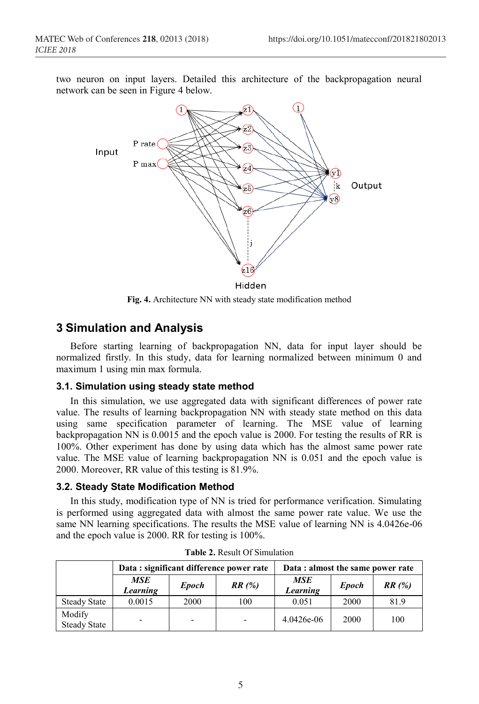two neuron on input layers. Detailed this architecture of the backpropagation neural network can be seen in Figure 4 below.



**Fig. 4.** Architecture NN with steady state modification method

# **3 Simulation and Analysis**

Before starting learning of backpropagation NN, data for input layer should be normalized firstly. In this study, data for learning normalized between minimum 0 and maximum 1 using min max formula.

### **3.1. Simulation using steady state method**

In this simulation, we use aggregated data with significant differences of power rate value. The results of learning backpropagation NN with steady state method on this data using same specification parameter of learning. The MSE value of learning backpropagation NN is 0.0015 and the epoch value is 2000. For testing the results of RR is 100%. Other experiment has done by using data which has the almost same power rate value. The MSE value of learning backpropagation NN is 0.051 and the epoch value is 2000. Moreover, RR value of this testing is 81.9%.

#### **3.2. Steady State Modification Method**

In this study, modification type of NN is tried for performance verification. Simulating is performed using aggregated data with almost the same power rate value. We use the same NN learning specifications. The results the MSE value of learning NN is 4.0426e-06 and the epoch value is 2000. RR for testing is 100%.

|                               |                                 |      | Data: significant difference power rate | Data : almost the same power rate |              |       |  |
|-------------------------------|---------------------------------|------|-----------------------------------------|-----------------------------------|--------------|-------|--|
|                               | MSE<br><b>Epoch</b><br>Learning |      | RR(%)                                   | <b>MSE</b><br>Learning            | <b>Epoch</b> | RR(%) |  |
| <b>Steady State</b>           | 0.0015                          | 2000 | 100                                     | 0.051                             | 2000         | 81.9  |  |
| Modify<br><b>Steady State</b> | -                               |      | $\overline{\phantom{a}}$                | 4.0426e-06                        | 2000         | 100   |  |

**Table 2.** Result Of Simulation